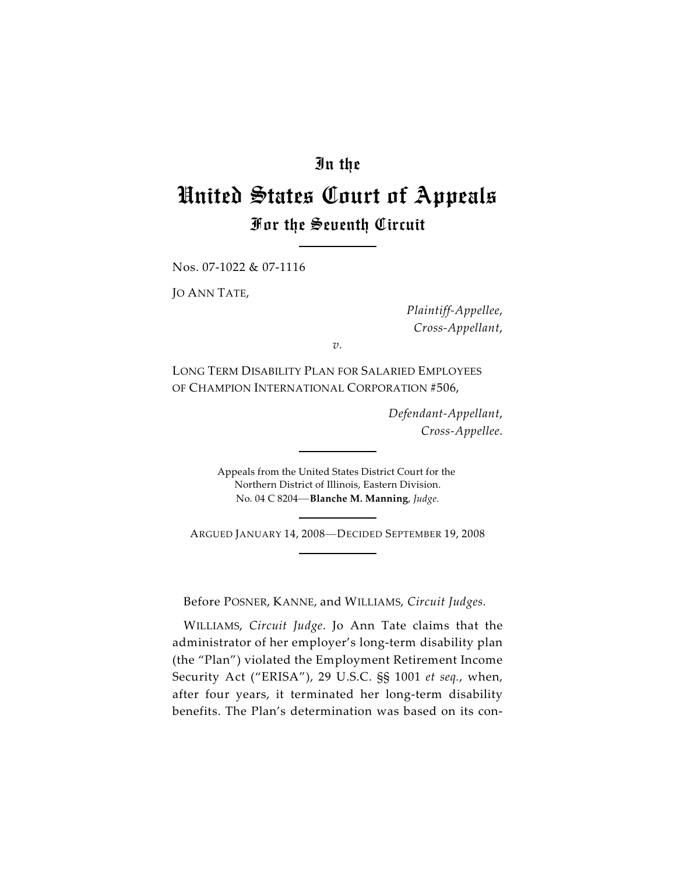## In the

# United States Court of Appeals For the Seventh Circuit

Nos. 07-1022 & 07-1116

JO ANN TATE,

*Plaintiff-Appellee*, *Cross-Appellant*,

*v.*

LONG TERM DISABILITY PLAN FOR SALARIED EMPLOYEES OF CHAMPION INTERNATIONAL CORPORATION #506,

> *Defendant-Appellant*, *Cross-Appellee*.

Appeals from the United States District Court for the Northern District of Illinois, Eastern Division. No. 04 C 8204—**Blanche M. Manning**, *Judge.*

ARGUED JANUARY 14, 2008—DECIDED SEPTEMBER 19, 2008

Before POSNER, KANNE, and WILLIAMS, *Circuit Judges.*

WILLIAMS, *Circuit Judge*. Jo Ann Tate claims that the administrator of her employer's long-term disability plan (the "Plan") violated the Employment Retirement Income Security Act ("ERISA"), 29 U.S.C. §§ 1001 *et seq.*, when, after four years, it terminated her long-term disability benefits. The Plan's determination was based on its con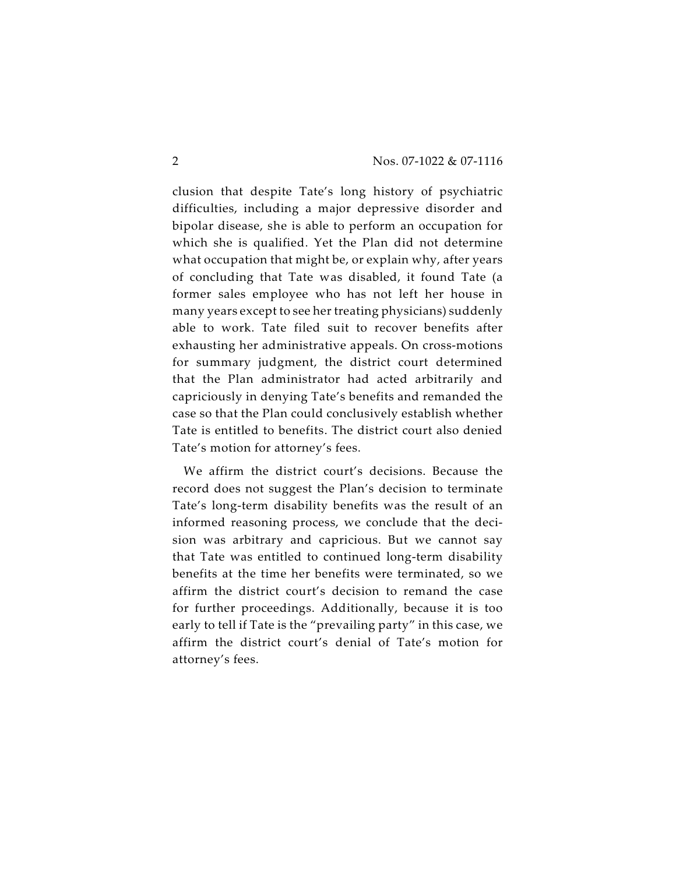clusion that despite Tate's long history of psychiatric difficulties, including a major depressive disorder and bipolar disease, she is able to perform an occupation for which she is qualified. Yet the Plan did not determine what occupation that might be, or explain why, after years of concluding that Tate was disabled, it found Tate (a former sales employee who has not left her house in many years except to see her treating physicians) suddenly able to work. Tate filed suit to recover benefits after exhausting her administrative appeals. On cross-motions for summary judgment, the district court determined that the Plan administrator had acted arbitrarily and capriciously in denying Tate's benefits and remanded the case so that the Plan could conclusively establish whether Tate is entitled to benefits. The district court also denied Tate's motion for attorney's fees.

We affirm the district court's decisions. Because the record does not suggest the Plan's decision to terminate Tate's long-term disability benefits was the result of an informed reasoning process, we conclude that the decision was arbitrary and capricious. But we cannot say that Tate was entitled to continued long-term disability benefits at the time her benefits were terminated, so we affirm the district court's decision to remand the case for further proceedings. Additionally, because it is too early to tell if Tate is the "prevailing party" in this case, we affirm the district court's denial of Tate's motion for attorney's fees.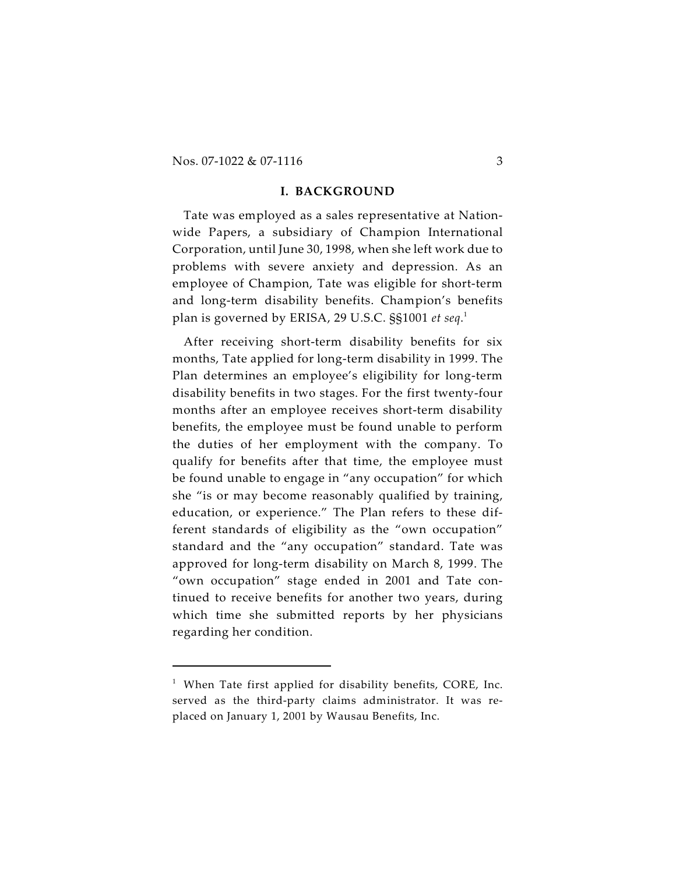Nos. 07-1022 & 07-1116 3

#### **I. BACKGROUND**

Tate was employed as a sales representative at Nationwide Papers, a subsidiary of Champion International Corporation, until June 30, 1998, when she left work due to problems with severe anxiety and depression. As an employee of Champion, Tate was eligible for short-term and long-term disability benefits. Champion's benefits plan is governed by ERISA, 29 U.S.C. §§1001 *et seq*. 1

After receiving short-term disability benefits for six months, Tate applied for long-term disability in 1999. The Plan determines an employee's eligibility for long-term disability benefits in two stages. For the first twenty-four months after an employee receives short-term disability benefits, the employee must be found unable to perform the duties of her employment with the company. To qualify for benefits after that time, the employee must be found unable to engage in "any occupation" for which she "is or may become reasonably qualified by training, education, or experience." The Plan refers to these different standards of eligibility as the "own occupation" standard and the "any occupation" standard. Tate was approved for long-term disability on March 8, 1999. The "own occupation" stage ended in 2001 and Tate continued to receive benefits for another two years, during which time she submitted reports by her physicians regarding her condition.

 $1$  When Tate first applied for disability benefits, CORE, Inc. served as the third-party claims administrator. It was replaced on January 1, 2001 by Wausau Benefits, Inc.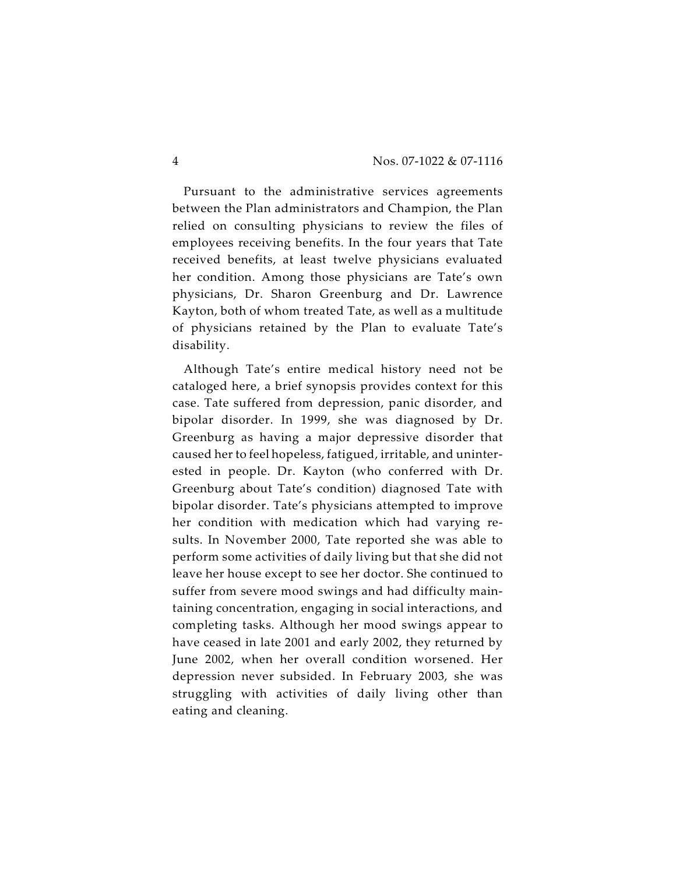Pursuant to the administrative services agreements between the Plan administrators and Champion, the Plan relied on consulting physicians to review the files of employees receiving benefits. In the four years that Tate received benefits, at least twelve physicians evaluated her condition. Among those physicians are Tate's own physicians, Dr. Sharon Greenburg and Dr. Lawrence Kayton, both of whom treated Tate, as well as a multitude of physicians retained by the Plan to evaluate Tate's disability.

Although Tate's entire medical history need not be cataloged here, a brief synopsis provides context for this case. Tate suffered from depression, panic disorder, and bipolar disorder. In 1999, she was diagnosed by Dr. Greenburg as having a major depressive disorder that caused her to feel hopeless, fatigued, irritable, and uninterested in people. Dr. Kayton (who conferred with Dr. Greenburg about Tate's condition) diagnosed Tate with bipolar disorder. Tate's physicians attempted to improve her condition with medication which had varying results. In November 2000, Tate reported she was able to perform some activities of daily living but that she did not leave her house except to see her doctor. She continued to suffer from severe mood swings and had difficulty maintaining concentration, engaging in social interactions, and completing tasks. Although her mood swings appear to have ceased in late 2001 and early 2002, they returned by June 2002, when her overall condition worsened. Her depression never subsided. In February 2003, she was struggling with activities of daily living other than eating and cleaning.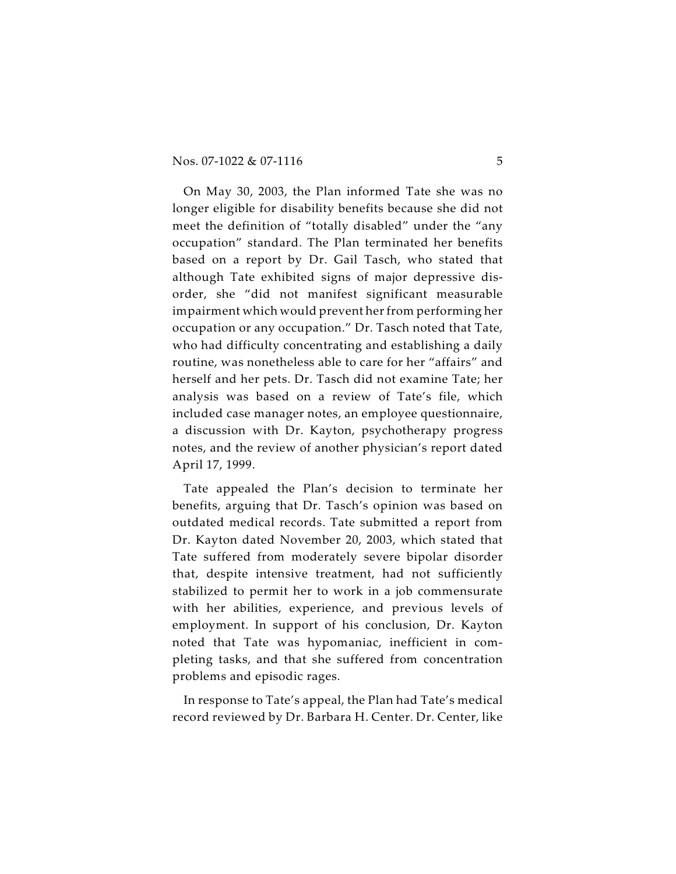On May 30, 2003, the Plan informed Tate she was no longer eligible for disability benefits because she did not meet the definition of "totally disabled" under the "any occupation" standard. The Plan terminated her benefits based on a report by Dr. Gail Tasch, who stated that although Tate exhibited signs of major depressive disorder, she "did not manifest significant measurable impairment which would prevent her from performing her occupation or any occupation." Dr. Tasch noted that Tate, who had difficulty concentrating and establishing a daily routine, was nonetheless able to care for her "affairs" and herself and her pets. Dr. Tasch did not examine Tate; her analysis was based on a review of Tate's file, which included case manager notes, an employee questionnaire, a discussion with Dr. Kayton, psychotherapy progress notes, and the review of another physician's report dated April 17, 1999.

Tate appealed the Plan's decision to terminate her benefits, arguing that Dr. Tasch's opinion was based on outdated medical records. Tate submitted a report from Dr. Kayton dated November 20, 2003, which stated that Tate suffered from moderately severe bipolar disorder that, despite intensive treatment, had not sufficiently stabilized to permit her to work in a job commensurate with her abilities, experience, and previous levels of employment. In support of his conclusion, Dr. Kayton noted that Tate was hypomaniac, inefficient in completing tasks, and that she suffered from concentration problems and episodic rages.

In response to Tate's appeal, the Plan had Tate's medical record reviewed by Dr. Barbara H. Center. Dr. Center, like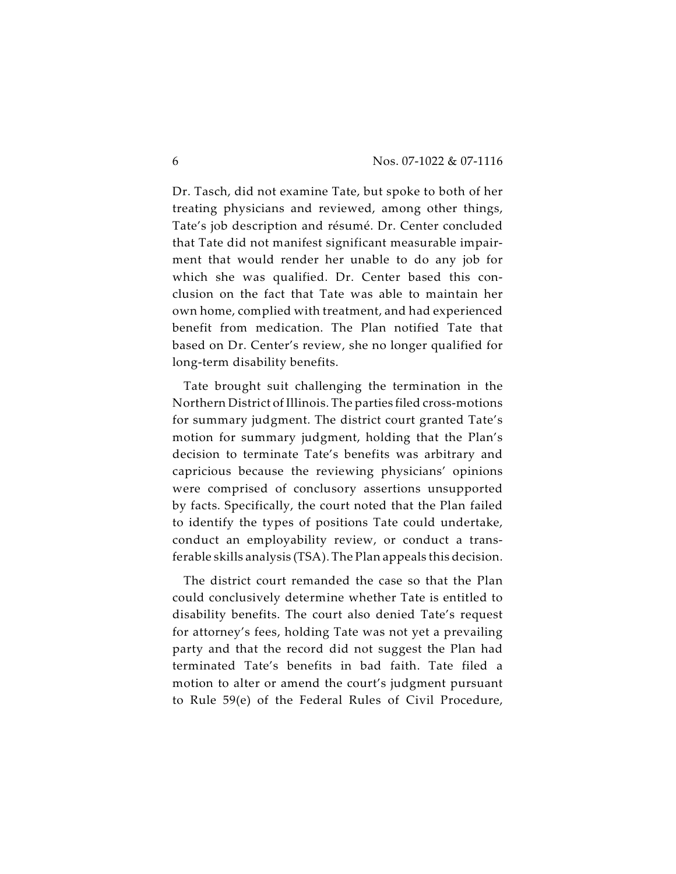Dr. Tasch, did not examine Tate, but spoke to both of her treating physicians and reviewed, among other things, Tate's job description and résumé. Dr. Center concluded that Tate did not manifest significant measurable impairment that would render her unable to do any job for which she was qualified. Dr. Center based this conclusion on the fact that Tate was able to maintain her own home, complied with treatment, and had experienced benefit from medication. The Plan notified Tate that based on Dr. Center's review, she no longer qualified for long-term disability benefits.

Tate brought suit challenging the termination in the Northern District of Illinois. The parties filed cross-motions for summary judgment. The district court granted Tate's motion for summary judgment, holding that the Plan's decision to terminate Tate's benefits was arbitrary and capricious because the reviewing physicians' opinions were comprised of conclusory assertions unsupported by facts. Specifically, the court noted that the Plan failed to identify the types of positions Tate could undertake, conduct an employability review, or conduct a transferable skills analysis (TSA). The Plan appeals this decision.

The district court remanded the case so that the Plan could conclusively determine whether Tate is entitled to disability benefits. The court also denied Tate's request for attorney's fees, holding Tate was not yet a prevailing party and that the record did not suggest the Plan had terminated Tate's benefits in bad faith. Tate filed a motion to alter or amend the court's judgment pursuant to Rule 59(e) of the Federal Rules of Civil Procedure,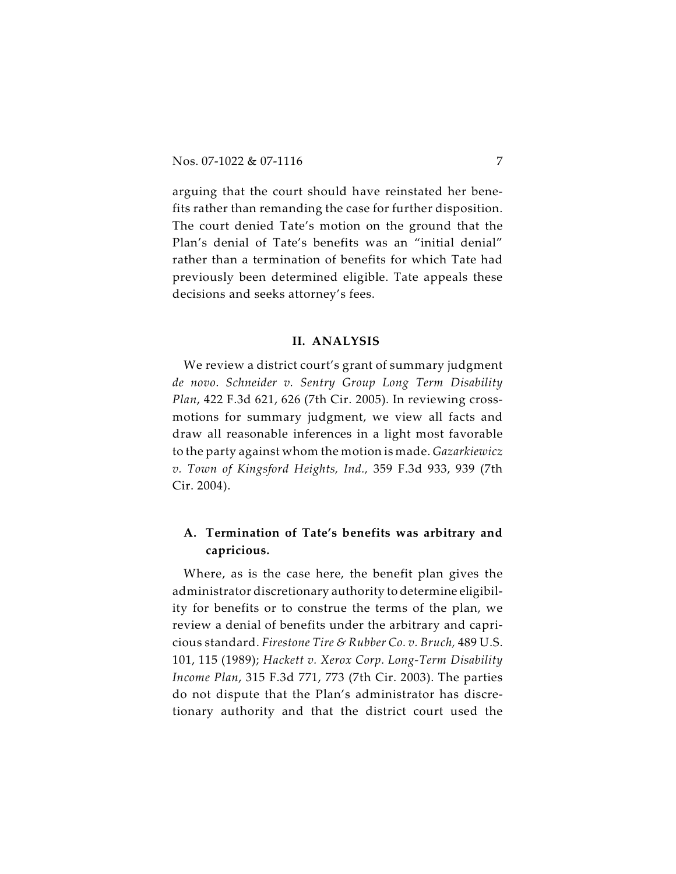arguing that the court should have reinstated her benefits rather than remanding the case for further disposition. The court denied Tate's motion on the ground that the Plan's denial of Tate's benefits was an "initial denial" rather than a termination of benefits for which Tate had previously been determined eligible. Tate appeals these decisions and seeks attorney's fees.

#### **II. ANALYSIS**

We review a district court's grant of summary judgment *de novo*. *Schneider v. Sentry Group Long Term Disability Plan*, 422 F.3d 621, 626 (7th Cir. 2005). In reviewing crossmotions for summary judgment, we view all facts and draw all reasonable inferences in a light most favorable to the party against whom the motion is made. *Gazarkiewicz v. Town of Kingsford Heights, Ind.,* 359 F.3d 933, 939 (7th Cir. 2004).

## **A. Termination of Tate's benefits was arbitrary and capricious.**

Where, as is the case here, the benefit plan gives the administrator discretionary authority to determine eligibility for benefits or to construe the terms of the plan, we review a denial of benefits under the arbitrary and capricious standard. *Firestone Tire & Rubber Co. v. Bruch,* 489 U.S. 101, 115 (1989); *Hackett v. Xerox Corp. Long-Term Disability Income Plan*, 315 F.3d 771, 773 (7th Cir. 2003). The parties do not dispute that the Plan's administrator has discretionary authority and that the district court used the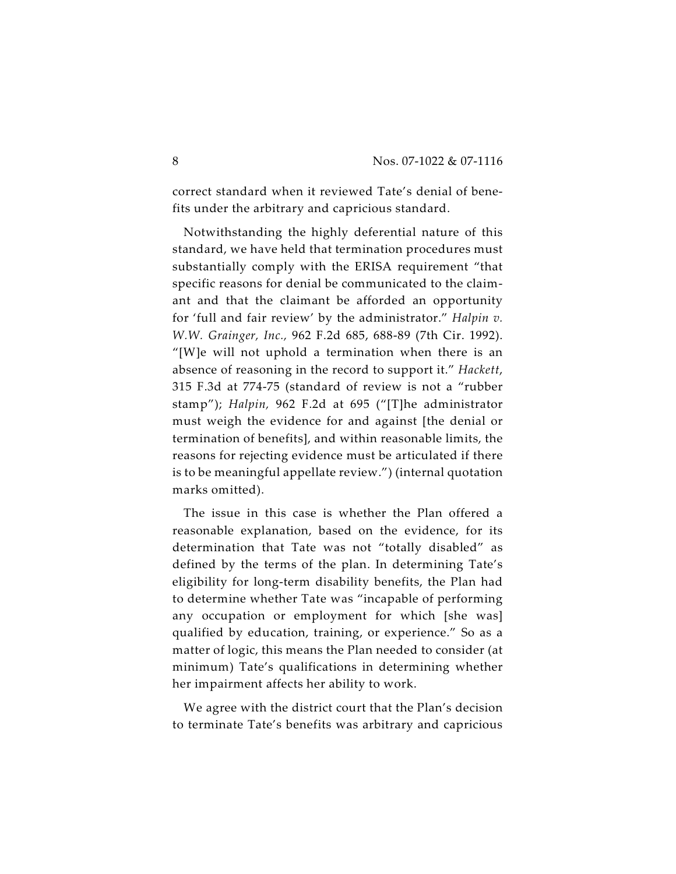correct standard when it reviewed Tate's denial of benefits under the arbitrary and capricious standard.

Notwithstanding the highly deferential nature of this standard, we have held that termination procedures must substantially comply with the ERISA requirement "that specific reasons for denial be communicated to the claimant and that the claimant be afforded an opportunity for 'full and fair review' by the administrator." *Halpin v. W.W. Grainger, Inc.,* 962 F.2d 685, 688-89 (7th Cir. 1992). "[W]e will not uphold a termination when there is an absence of reasoning in the record to support it." *Hackett*, 315 F.3d at 774-75 (standard of review is not a "rubber stamp"); *Halpin,* 962 F.2d at 695 ("[T]he administrator must weigh the evidence for and against [the denial or termination of benefits], and within reasonable limits, the reasons for rejecting evidence must be articulated if there is to be meaningful appellate review.") (internal quotation marks omitted).

The issue in this case is whether the Plan offered a reasonable explanation, based on the evidence, for its determination that Tate was not "totally disabled" as defined by the terms of the plan. In determining Tate's eligibility for long-term disability benefits, the Plan had to determine whether Tate was "incapable of performing any occupation or employment for which [she was] qualified by education, training, or experience." So as a matter of logic, this means the Plan needed to consider (at minimum) Tate's qualifications in determining whether her impairment affects her ability to work.

We agree with the district court that the Plan's decision to terminate Tate's benefits was arbitrary and capricious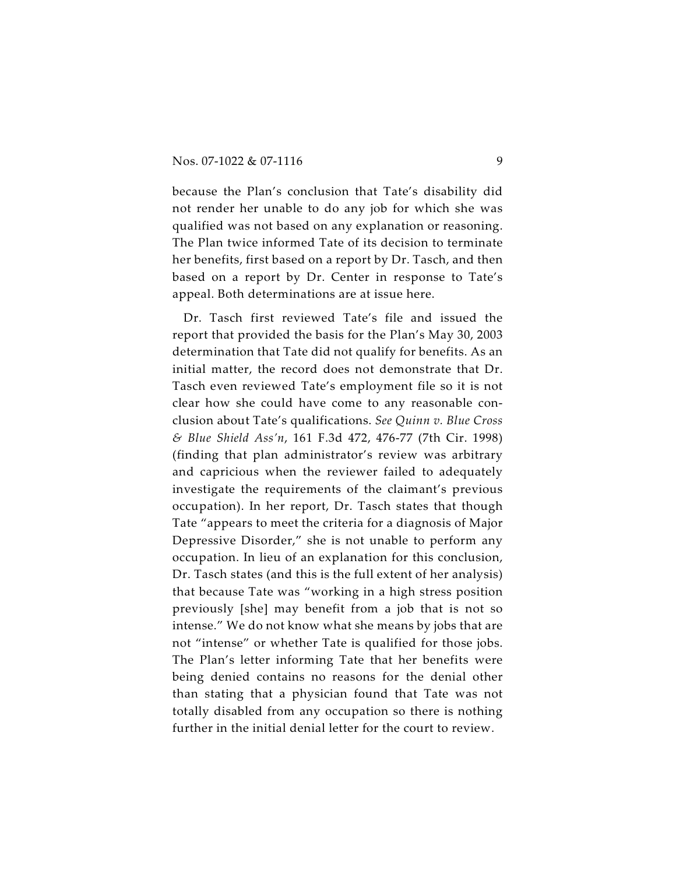because the Plan's conclusion that Tate's disability did not render her unable to do any job for which she was qualified was not based on any explanation or reasoning. The Plan twice informed Tate of its decision to terminate her benefits, first based on a report by Dr. Tasch, and then based on a report by Dr. Center in response to Tate's appeal. Both determinations are at issue here.

Dr. Tasch first reviewed Tate's file and issued the report that provided the basis for the Plan's May 30, 2003 determination that Tate did not qualify for benefits. As an initial matter, the record does not demonstrate that Dr. Tasch even reviewed Tate's employment file so it is not clear how she could have come to any reasonable conclusion about Tate's qualifications. *See Quinn v. Blue Cross & Blue Shield Ass'n*, 161 F.3d 472, 476-77 (7th Cir. 1998) (finding that plan administrator's review was arbitrary and capricious when the reviewer failed to adequately investigate the requirements of the claimant's previous occupation). In her report, Dr. Tasch states that though Tate "appears to meet the criteria for a diagnosis of Major Depressive Disorder," she is not unable to perform any occupation. In lieu of an explanation for this conclusion, Dr. Tasch states (and this is the full extent of her analysis) that because Tate was "working in a high stress position previously [she] may benefit from a job that is not so intense." We do not know what she means by jobs that are not "intense" or whether Tate is qualified for those jobs. The Plan's letter informing Tate that her benefits were being denied contains no reasons for the denial other than stating that a physician found that Tate was not totally disabled from any occupation so there is nothing further in the initial denial letter for the court to review.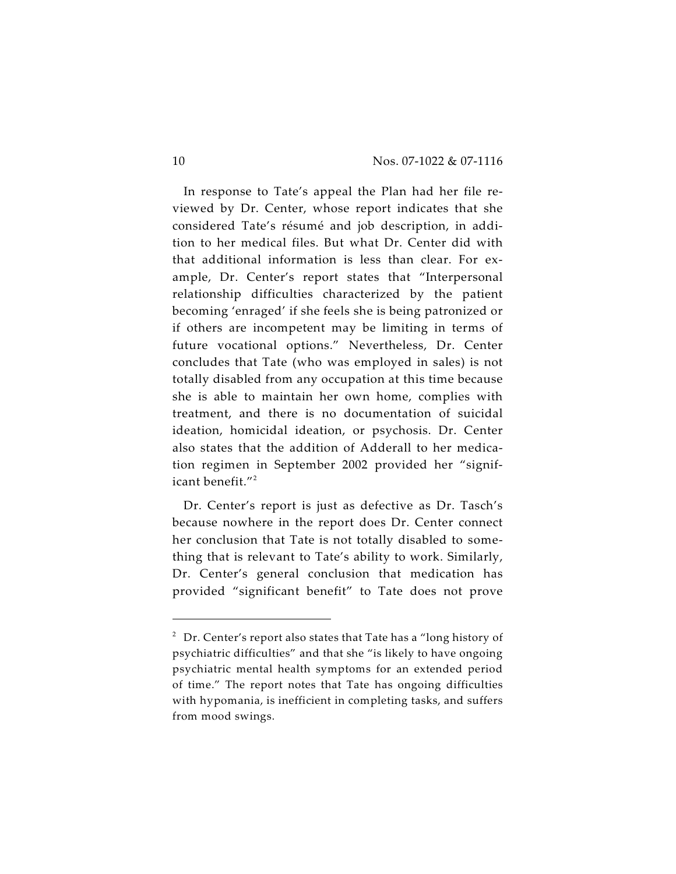In response to Tate's appeal the Plan had her file reviewed by Dr. Center, whose report indicates that she considered Tate's résumé and job description, in addition to her medical files. But what Dr. Center did with that additional information is less than clear. For example, Dr. Center's report states that "Interpersonal relationship difficulties characterized by the patient becoming 'enraged' if she feels she is being patronized or if others are incompetent may be limiting in terms of future vocational options." Nevertheless, Dr. Center concludes that Tate (who was employed in sales) is not totally disabled from any occupation at this time because she is able to maintain her own home, complies with treatment, and there is no documentation of suicidal ideation, homicidal ideation, or psychosis. Dr. Center also states that the addition of Adderall to her medication regimen in September 2002 provided her "significant benefit."<sup>2</sup>

Dr. Center's report is just as defective as Dr. Tasch's because nowhere in the report does Dr. Center connect her conclusion that Tate is not totally disabled to something that is relevant to Tate's ability to work. Similarly, Dr. Center's general conclusion that medication has provided "significant benefit" to Tate does not prove

 $2$  Dr. Center's report also states that Tate has a "long history of psychiatric difficulties" and that she "is likely to have ongoing psychiatric mental health symptoms for an extended period of time." The report notes that Tate has ongoing difficulties with hypomania, is inefficient in completing tasks, and suffers from mood swings.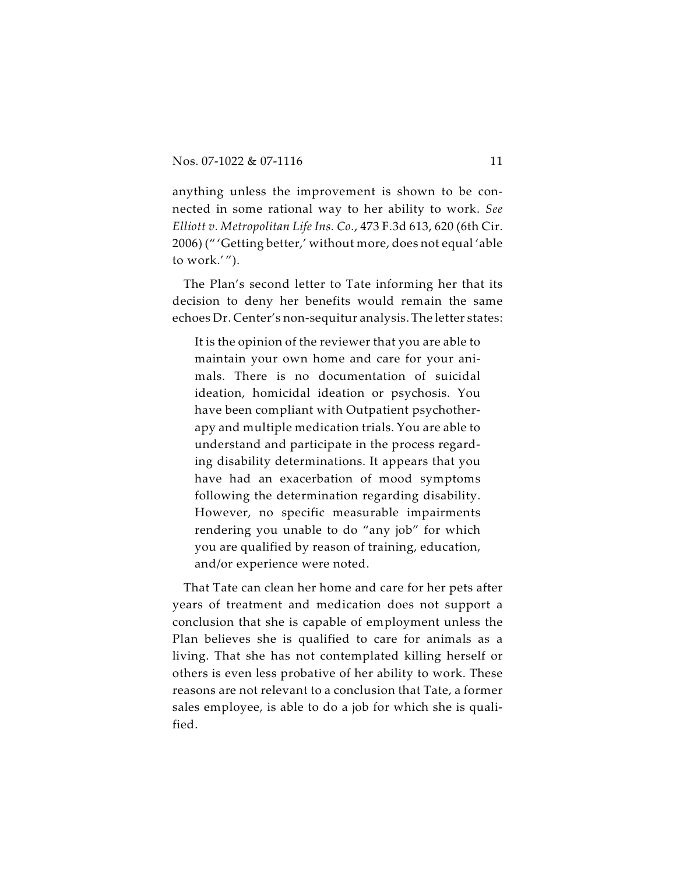anything unless the improvement is shown to be connected in some rational way to her ability to work. *See Elliott v. Metropolitan Life Ins. Co.*, 473 F.3d 613, 620 (6th Cir. 2006) (" 'Getting better,' without more, does not equal 'able to work.' ").

The Plan's second letter to Tate informing her that its decision to deny her benefits would remain the same echoes Dr. Center's non-sequitur analysis. The letter states:

It is the opinion of the reviewer that you are able to maintain your own home and care for your animals. There is no documentation of suicidal ideation, homicidal ideation or psychosis. You have been compliant with Outpatient psychotherapy and multiple medication trials. You are able to understand and participate in the process regarding disability determinations. It appears that you have had an exacerbation of mood symptoms following the determination regarding disability. However, no specific measurable impairments rendering you unable to do "any job" for which you are qualified by reason of training, education, and/or experience were noted.

That Tate can clean her home and care for her pets after years of treatment and medication does not support a conclusion that she is capable of employment unless the Plan believes she is qualified to care for animals as a living. That she has not contemplated killing herself or others is even less probative of her ability to work. These reasons are not relevant to a conclusion that Tate, a former sales employee, is able to do a job for which she is qualified.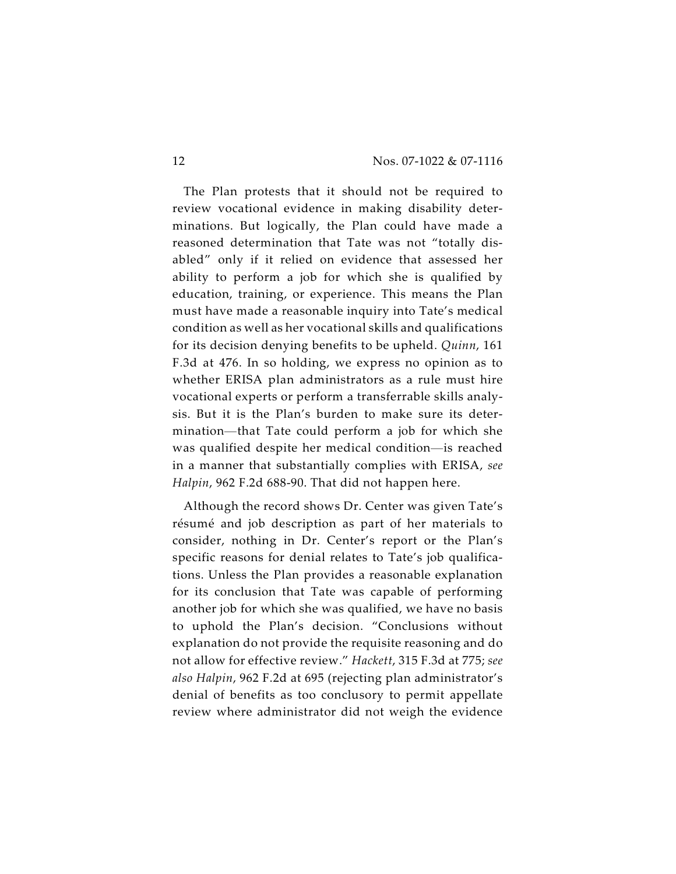The Plan protests that it should not be required to review vocational evidence in making disability determinations. But logically, the Plan could have made a reasoned determination that Tate was not "totally disabled" only if it relied on evidence that assessed her ability to perform a job for which she is qualified by education, training, or experience. This means the Plan must have made a reasonable inquiry into Tate's medical condition as well as her vocational skills and qualifications for its decision denying benefits to be upheld. *Quinn*, 161 F.3d at 476. In so holding, we express no opinion as to whether ERISA plan administrators as a rule must hire vocational experts or perform a transferrable skills analysis. But it is the Plan's burden to make sure its determination—that Tate could perform a job for which she was qualified despite her medical condition—is reached in a manner that substantially complies with ERISA, *see Halpin*, 962 F.2d 688-90. That did not happen here.

Although the record shows Dr. Center was given Tate's résumé and job description as part of her materials to consider, nothing in Dr. Center's report or the Plan's specific reasons for denial relates to Tate's job qualifications. Unless the Plan provides a reasonable explanation for its conclusion that Tate was capable of performing another job for which she was qualified, we have no basis to uphold the Plan's decision. "Conclusions without explanation do not provide the requisite reasoning and do not allow for effective review." *Hackett*, 315 F.3d at 775; *see also Halpin*, 962 F.2d at 695 (rejecting plan administrator's denial of benefits as too conclusory to permit appellate review where administrator did not weigh the evidence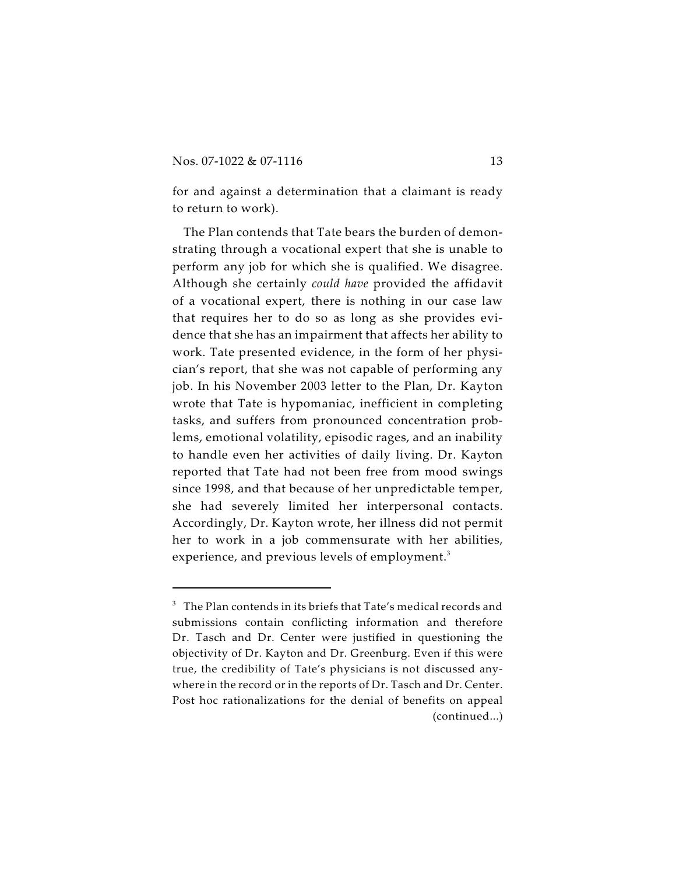for and against a determination that a claimant is ready to return to work).

The Plan contends that Tate bears the burden of demonstrating through a vocational expert that she is unable to perform any job for which she is qualified. We disagree. Although she certainly *could have* provided the affidavit of a vocational expert, there is nothing in our case law that requires her to do so as long as she provides evidence that she has an impairment that affects her ability to work. Tate presented evidence, in the form of her physician's report, that she was not capable of performing any job. In his November 2003 letter to the Plan, Dr. Kayton wrote that Tate is hypomaniac, inefficient in completing tasks, and suffers from pronounced concentration problems, emotional volatility, episodic rages, and an inability to handle even her activities of daily living. Dr. Kayton reported that Tate had not been free from mood swings since 1998, and that because of her unpredictable temper, she had severely limited her interpersonal contacts. Accordingly, Dr. Kayton wrote, her illness did not permit her to work in a job commensurate with her abilities, experience, and previous levels of employment.<sup>3</sup>

 $^3$  The Plan contends in its briefs that Tate's medical records and submissions contain conflicting information and therefore Dr. Tasch and Dr. Center were justified in questioning the objectivity of Dr. Kayton and Dr. Greenburg. Even if this were true, the credibility of Tate's physicians is not discussed anywhere in the record or in the reports of Dr. Tasch and Dr. Center. Post hoc rationalizations for the denial of benefits on appeal (continued...)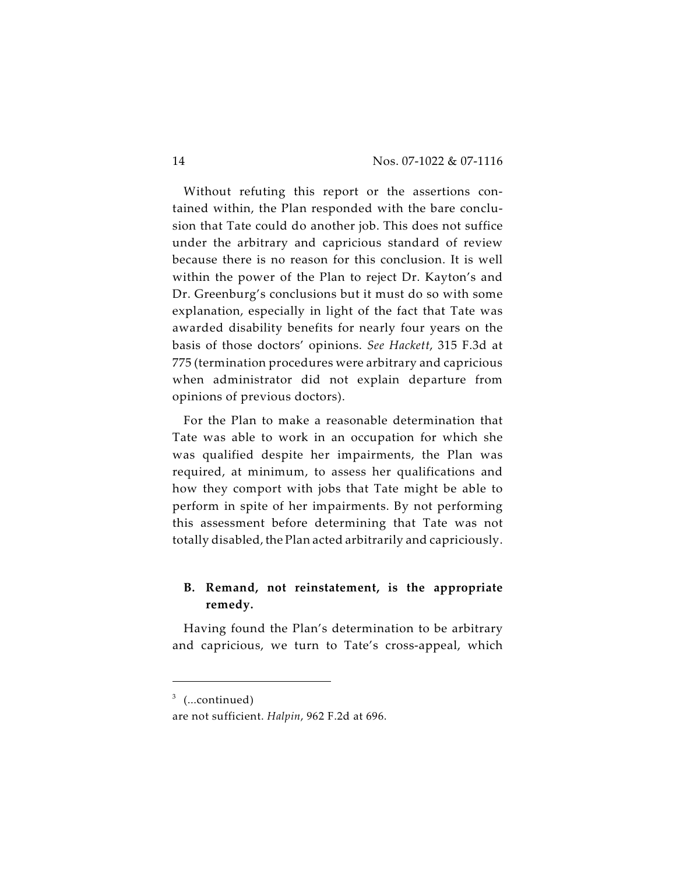Without refuting this report or the assertions contained within, the Plan responded with the bare conclusion that Tate could do another job. This does not suffice under the arbitrary and capricious standard of review because there is no reason for this conclusion. It is well within the power of the Plan to reject Dr. Kayton's and Dr. Greenburg's conclusions but it must do so with some explanation, especially in light of the fact that Tate was awarded disability benefits for nearly four years on the basis of those doctors' opinions. *See Hackett*, 315 F.3d at 775 (termination procedures were arbitrary and capricious when administrator did not explain departure from opinions of previous doctors).

For the Plan to make a reasonable determination that Tate was able to work in an occupation for which she was qualified despite her impairments, the Plan was required, at minimum, to assess her qualifications and how they comport with jobs that Tate might be able to perform in spite of her impairments. By not performing this assessment before determining that Tate was not totally disabled, the Plan acted arbitrarily and capriciously.

## **B. Remand, not reinstatement, is the appropriate remedy.**

Having found the Plan's determination to be arbitrary and capricious, we turn to Tate's cross-appeal, which

 $3$  (...continued)

are not sufficient. *Halpin*, 962 F.2d at 696.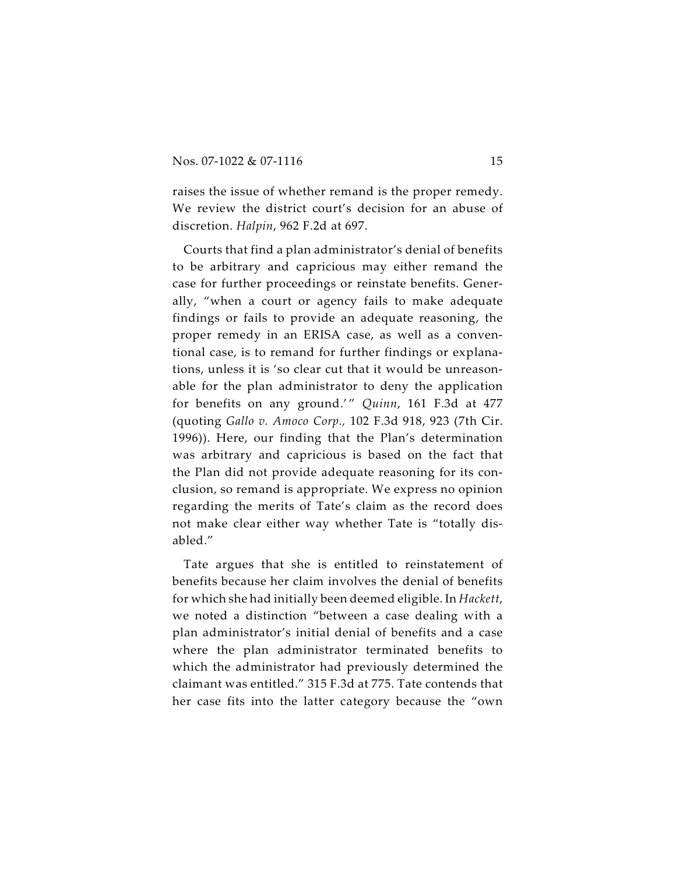raises the issue of whether remand is the proper remedy. We review the district court's decision for an abuse of discretion. *Halpin*, 962 F.2d at 697.

Courts that find a plan administrator's denial of benefits to be arbitrary and capricious may either remand the case for further proceedings or reinstate benefits. Generally, "when a court or agency fails to make adequate findings or fails to provide an adequate reasoning, the proper remedy in an ERISA case, as well as a conventional case, is to remand for further findings or explanations, unless it is 'so clear cut that it would be unreasonable for the plan administrator to deny the application for benefits on any ground.'" Quinn, 161 F.3d at 477 (quoting *Gallo v. Amoco Corp.,* 102 F.3d 918, 923 (7th Cir. 1996)). Here, our finding that the Plan's determination was arbitrary and capricious is based on the fact that the Plan did not provide adequate reasoning for its conclusion, so remand is appropriate. We express no opinion regarding the merits of Tate's claim as the record does not make clear either way whether Tate is "totally disabled."

Tate argues that she is entitled to reinstatement of benefits because her claim involves the denial of benefits for which she had initially been deemed eligible. In *Hackett*, we noted a distinction "between a case dealing with a plan administrator's initial denial of benefits and a case where the plan administrator terminated benefits to which the administrator had previously determined the claimant was entitled." 315 F.3d at 775. Tate contends that her case fits into the latter category because the "own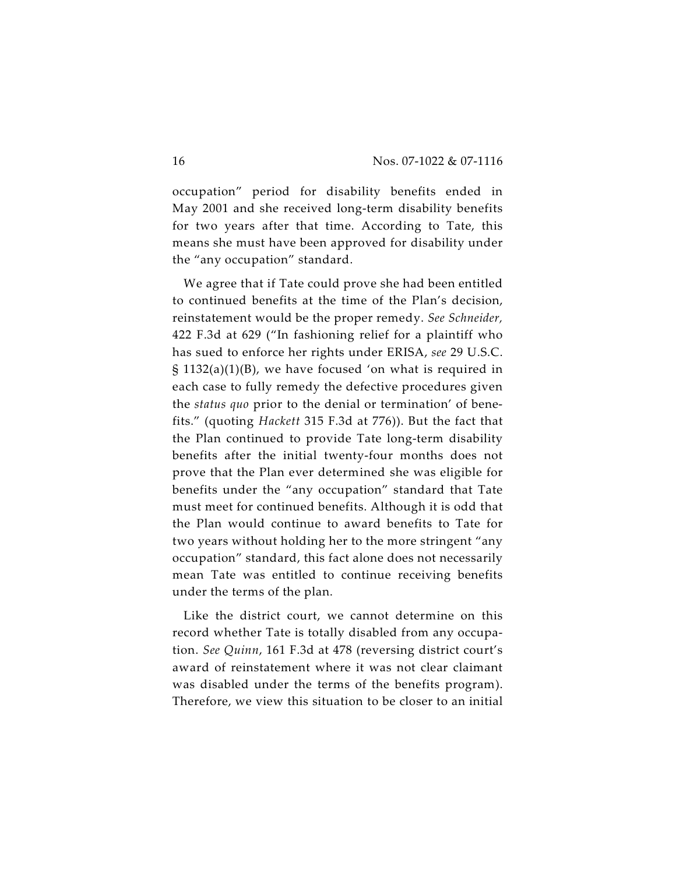occupation" period for disability benefits ended in May 2001 and she received long-term disability benefits for two years after that time. According to Tate, this means she must have been approved for disability under the "any occupation" standard.

We agree that if Tate could prove she had been entitled to continued benefits at the time of the Plan's decision, reinstatement would be the proper remedy. *See Schneider,* 422 F.3d at 629 ("In fashioning relief for a plaintiff who has sued to enforce her rights under ERISA, *see* 29 U.S.C. § 1132(a)(1)(B), we have focused 'on what is required in each case to fully remedy the defective procedures given the *status quo* prior to the denial or termination' of benefits." (quoting *Hackett* 315 F.3d at 776)). But the fact that the Plan continued to provide Tate long-term disability benefits after the initial twenty-four months does not prove that the Plan ever determined she was eligible for benefits under the "any occupation" standard that Tate must meet for continued benefits. Although it is odd that the Plan would continue to award benefits to Tate for two years without holding her to the more stringent "any occupation" standard, this fact alone does not necessarily mean Tate was entitled to continue receiving benefits under the terms of the plan.

Like the district court, we cannot determine on this record whether Tate is totally disabled from any occupation. *See Quinn*, 161 F.3d at 478 (reversing district court's award of reinstatement where it was not clear claimant was disabled under the terms of the benefits program). Therefore, we view this situation to be closer to an initial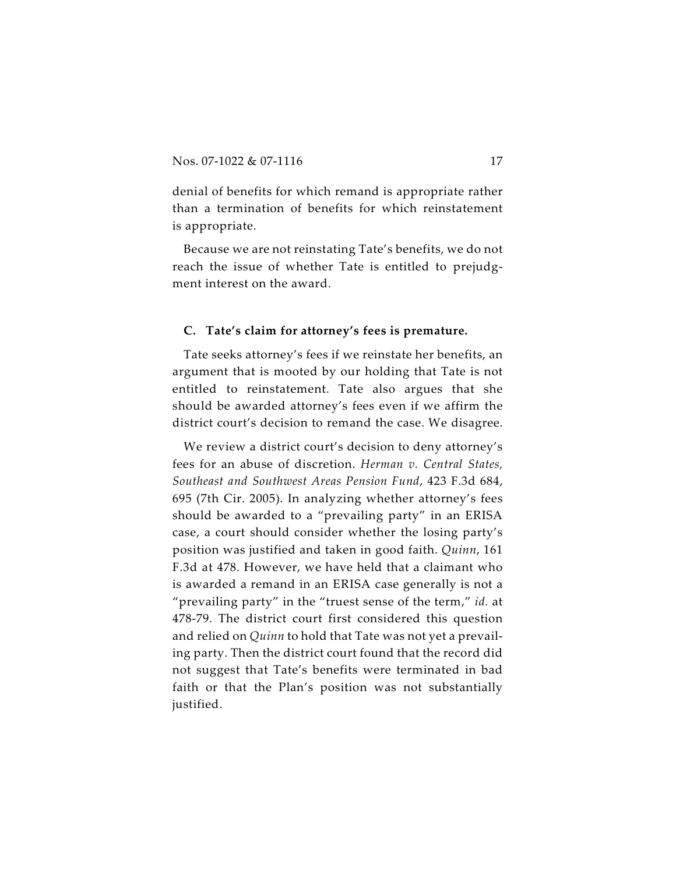denial of benefits for which remand is appropriate rather than a termination of benefits for which reinstatement is appropriate.

Because we are not reinstating Tate's benefits, we do not reach the issue of whether Tate is entitled to prejudgment interest on the award.

#### **C. Tate's claim for attorney's fees is premature.**

Tate seeks attorney's fees if we reinstate her benefits, an argument that is mooted by our holding that Tate is not entitled to reinstatement. Tate also argues that she should be awarded attorney's fees even if we affirm the district court's decision to remand the case. We disagree.

We review a district court's decision to deny attorney's fees for an abuse of discretion. *Herman v. Central States, Southeast and Southwest Areas Pension Fund*, 423 F.3d 684, 695 (7th Cir. 2005). In analyzing whether attorney's fees should be awarded to a "prevailing party" in an ERISA case, a court should consider whether the losing party's position was justified and taken in good faith. *Quinn*, 161 F.3d at 478. However, we have held that a claimant who is awarded a remand in an ERISA case generally is not a "prevailing party" in the "truest sense of the term," *id.* at 478-79. The district court first considered this question and relied on *Quinn* to hold that Tate was not yet a prevailing party. Then the district court found that the record did not suggest that Tate's benefits were terminated in bad faith or that the Plan's position was not substantially justified.